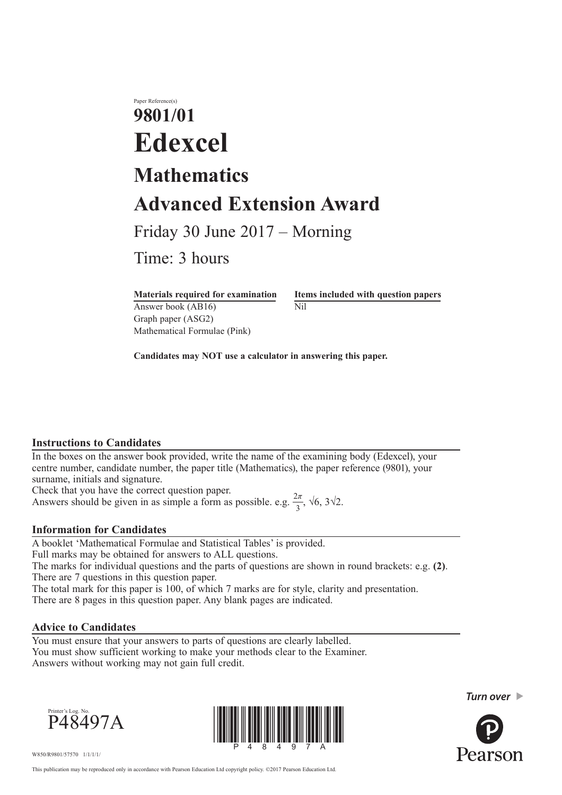# Paper Reference(s) **9801/01 Edexcel Mathematics Advanced Extension Award**

Friday 30 June 2017 – Morning

Time: 3 hours

Answer book (AB16) Nil Graph paper (ASG2) Mathematical Formulae (Pink)

**Materials required for examination Items included with question papers**

**Candidates may NOT use a calculator in answering this paper.**

## **Instructions to Candidates**

In the boxes on the answer book provided, write the name of the examining body (Edexcel), your centre number, candidate number, the paper title (Mathematics), the paper reference (9801), your surname, initials and signature.

Check that you have the correct question paper.

Answers should be given in as simple a form as possible. e.g.  $\frac{27}{3}$  $\frac{\pi}{2}$ ,  $\sqrt{6}$ ,  $3\sqrt{2}$ .

#### **Information for Candidates**

A booklet 'Mathematical Formulae and Statistical Tables' is provided. Full marks may be obtained for answers to ALL questions.

The marks for individual questions and the parts of questions are shown in round brackets: e.g. **(2)**. There are 7 questions in this question paper.

The total mark for this paper is 100, of which 7 marks are for style, clarity and presentation.

There are 8 pages in this question paper. Any blank pages are indicated.

#### **Advice to Candidates**

You must ensure that your answers to parts of questions are clearly labelled. You must show sufficient working to make your methods clear to the Examiner. Answers without working may not gain full credit.





*Turn over* 



W850/R9801/57570 1/1/1/1/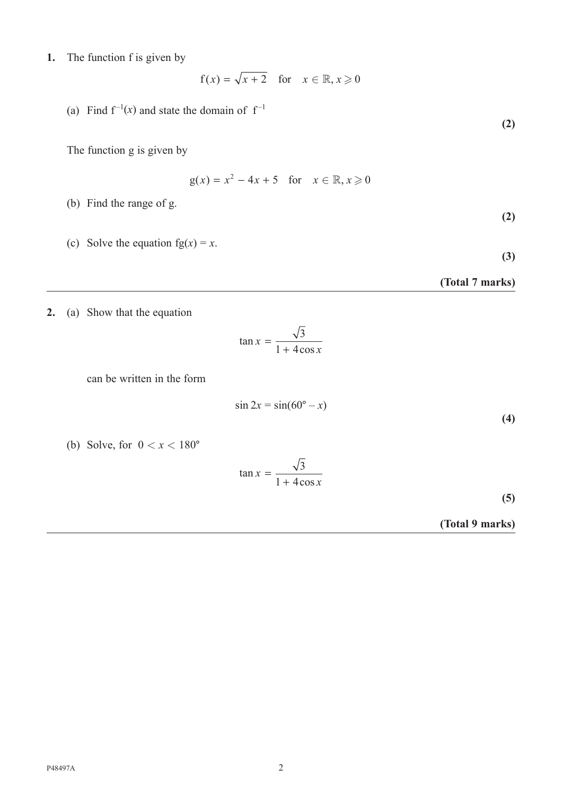**1.** The function f is given by

 $f(x) = \sqrt{x+2}$  for  $x \in \mathbb{R}, x \ge 0$ 

(a) Find  $f^{-1}(x)$  and state the domain of  $f^{-1}(x)$ 

The function g is given by

$$
g(x) = x^2 - 4x + 5 \quad \text{for} \quad x \in \mathbb{R}, x \geqslant 0
$$

- (b) Find the range of g.
- (c) Solve the equation  $fg(x) = x$ .

**(2)**

**(2)**

**(3)**

**(Total 7 marks)**

**2.** (a) Show that the equation

$$
\tan x = \frac{\sqrt{3}}{1 + 4\cos x}
$$

can be written in the form

$$
\sin 2x = \sin(60^\circ - x) \tag{4}
$$

(b) Solve, for  $0 < x < 180^{\circ}$ 

$$
\tan x = \frac{\sqrt{3}}{1 + 4\cos x}
$$

**(5)**

**(Total 9 marks)**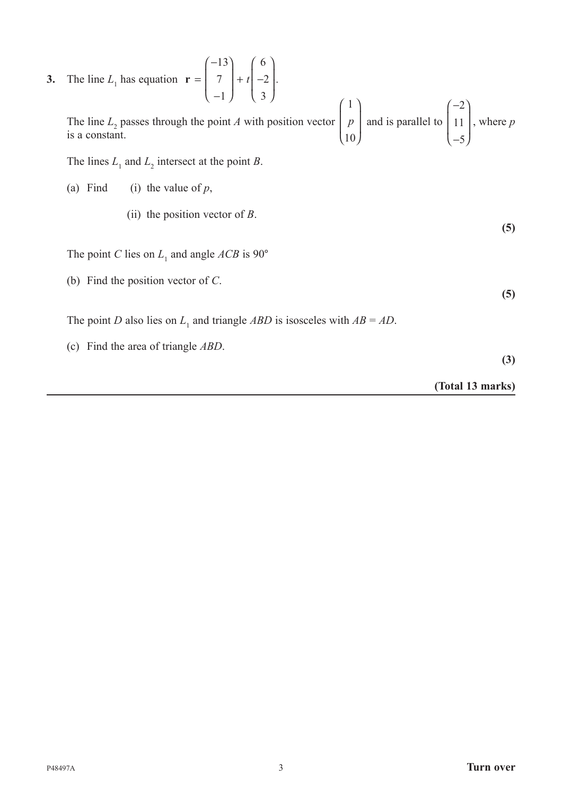| 3. | The line $L_1$ has equation $\mathbf{r} = \begin{bmatrix} -13 \\ 7 \\ 1 \end{bmatrix} + t \begin{bmatrix} 6 \\ -2 \\ 2 \end{bmatrix}$ .                                                                |
|----|--------------------------------------------------------------------------------------------------------------------------------------------------------------------------------------------------------|
|    | The line $L_2$ passes through the point A with position vector $\begin{pmatrix} 1 \\ p \\ 10 \end{pmatrix}$ and is parallel to $\begin{pmatrix} -2 \\ 11 \\ -5 \end{pmatrix}$ , where p is a constant. |
|    | The lines $L_1$ and $L_2$ intersect at the point B.                                                                                                                                                    |
|    | (i) the value of $p$ ,<br>$(a)$ Find                                                                                                                                                                   |
|    | (ii) the position vector of $B$ .<br>(5)                                                                                                                                                               |
|    | The point C lies on $L_1$ and angle ACB is 90°                                                                                                                                                         |
|    | (b) Find the position vector of $C$ .<br>(5)                                                                                                                                                           |
|    | The point D also lies on $L_1$ and triangle ABD is isosceles with $AB = AD$ .                                                                                                                          |
|    | (c) Find the area of triangle <i>ABD</i> .<br>(3)                                                                                                                                                      |
|    | (Total 13 marks)                                                                                                                                                                                       |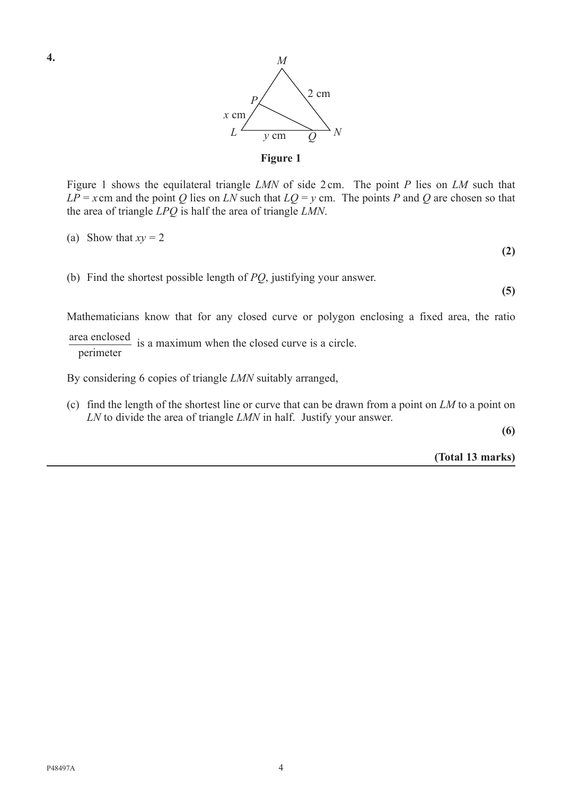

**Figure 1**

Figure 1 shows the equilateral triangle *LMN* of side 2 cm. The point *P* lies on *LM* such that  $LP = x$  cm and the point *Q* lies on *LN* such that  $LQ = y$  cm. The points *P* and *Q* are chosen so that the area of triangle *LPQ* is half the area of triangle *LMN*.

(a) Show that 
$$
xy = 2
$$

(b) Find the shortest possible length of *PQ*, justifying your answer.

**(5)**

**(2)**

Mathematicians know that for any closed curve or polygon enclosing a fixed area, the ratio area enclosed is a maximum when the closed curve is a circle. perimeter

By considering 6 copies of triangle *LMN* suitably arranged,

 (c) find the length of the shortest line or curve that can be drawn from a point on *LM* to a point on *LN* to divide the area of triangle *LMN* in half. Justify your answer.

**(6)**

**(Total 13 marks)**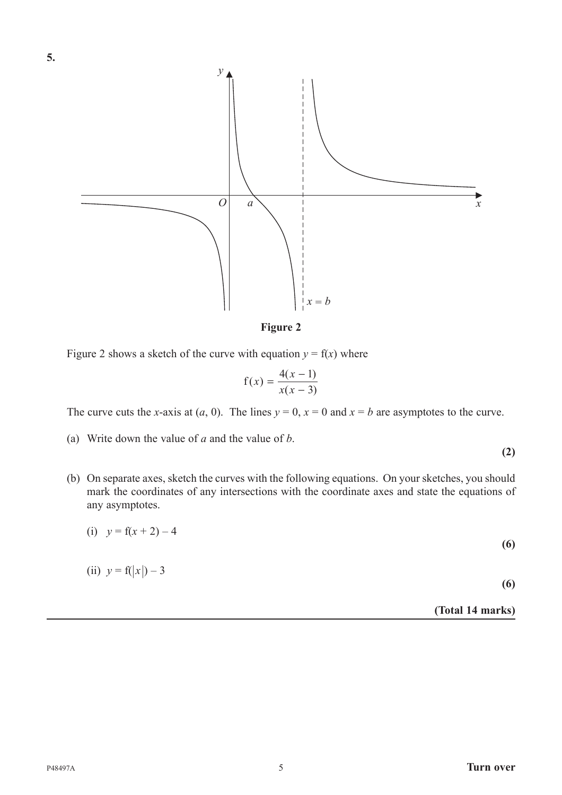

**Figure 2**

Figure 2 shows a sketch of the curve with equation  $y = f(x)$  where

$$
f(x) = \frac{4(x-1)}{x(x-3)}
$$

The curve cuts the *x*-axis at  $(a, 0)$ . The lines  $y = 0$ ,  $x = 0$  and  $x = b$  are asymptotes to the curve.

- (a) Write down the value of *a* and the value of *b*.
- (b) On separate axes, sketch the curves with the following equations. On your sketches, you should mark the coordinates of any intersections with the coordinate axes and state the equations of any asymptotes.
	- (i)  $y = f(x + 2) 4$ **(6)**
	- (ii)  $y = f(|x|) 3$ **(6)**
		- **(Total 14 marks)**

**(2)**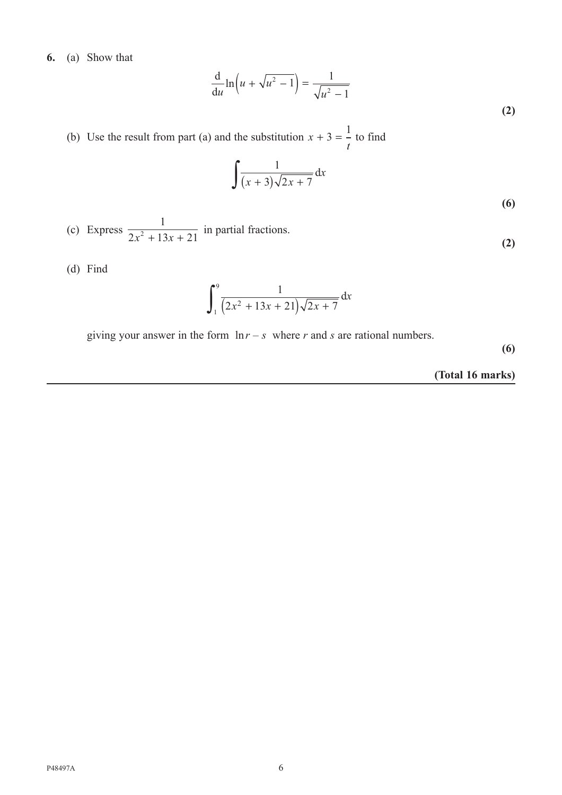**6.** (a) Show that

$$
\frac{\mathrm{d}}{\mathrm{d}u}\ln\left(u+\sqrt{u^2-1}\right)=\frac{1}{\sqrt{u^2-1}}
$$
\n(2)

(b) Use the result from part (a) and the substitution  $x + 3 = \frac{1}{t}$  to find

$$
\int \frac{1}{(x+3)\sqrt{2x+7}} \, \mathrm{d}x \tag{6}
$$

(c) Express 
$$
\frac{1}{2x^2 + 13x + 21}
$$
 in partial fractions. (2)

(d) Find

$$
\int_{1}^{9} \frac{1}{\left(2x^{2} + 13x + 21\right)\sqrt{2x + 7}} dx
$$

giving your answer in the form  $\ln r - s$  where *r* and *s* are rational numbers.

**(6)**

**(Total 16 marks)**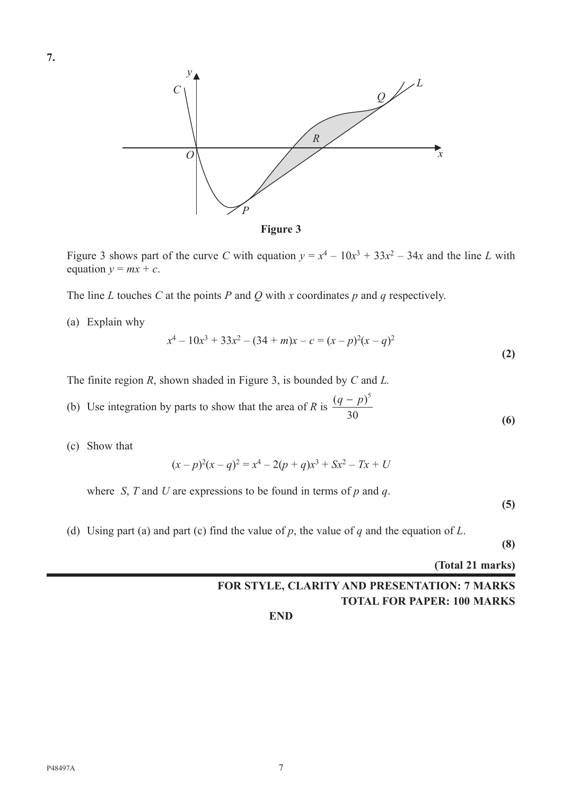

**Figure 3**

Figure 3 shows part of the curve *C* with equation  $y = x^4 - 10x^3 + 33x^2 - 34x$  and the line *L* with equation  $y = mx + c$ .

The line *L* touches *C* at the points *P* and *Q* with *x* coordinates *p* and *q* respectively.

(a) Explain why

$$
x4 - 10x3 + 33x2 - (34 + m)x - c = (x - p)2(x - q)2
$$
\n(2)

The finite region *R*, shown shaded in Figure 3, is bounded by *C* and *L.*

(b) Use integration by parts to show that the area of *R* is  $\frac{(q-p)^5}{q}$ 30 **(6)**

(c) Show that

$$
(x-p)^2(x-q)^2 = x^4 - 2(p+q)x^3 + Sx^2 - Tx + U
$$

where *S*, *T* and *U* are expressions to be found in terms of *p* and *q*.

**(5)**

(d) Using part (a) and part (c) find the value of *p*, the value of *q* and the equation of *L*.

**(8)**

### **(Total 21 marks)**

# **FOR STYLE, CLARITY AND PRESENTATION: 7 MARKS TOTAL FOR PAPER: 100 MARKS**

**END**